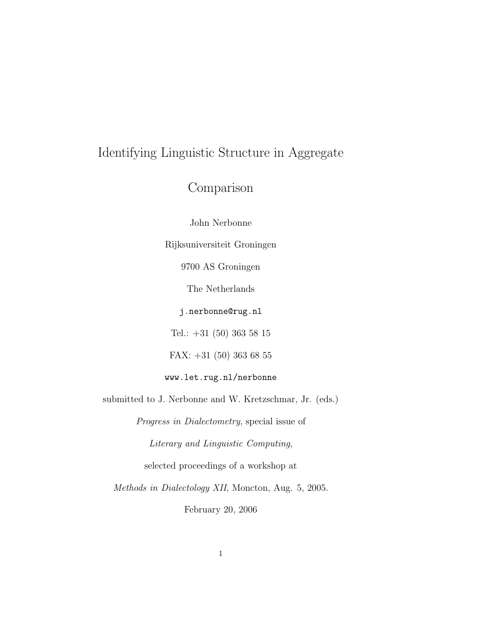# Identifying Linguistic Structure in Aggregate

# Comparison

John Nerbonne

Rijksuniversiteit Groningen

9700 AS Groningen

The Netherlands

j.nerbonne@rug.nl

Tel.: +31 (50) 363 58 15

FAX: +31 (50) 363 68 55

www.let.rug.nl/nerbonne

submitted to J. Nerbonne and W. Kretzschmar, Jr. (eds.)

Progress in Dialectometry, special issue of

Literary and Linguistic Computing,

selected proceedings of a workshop at

Methods in Dialectology XII, Moncton, Aug. 5, 2005.

February 20, 2006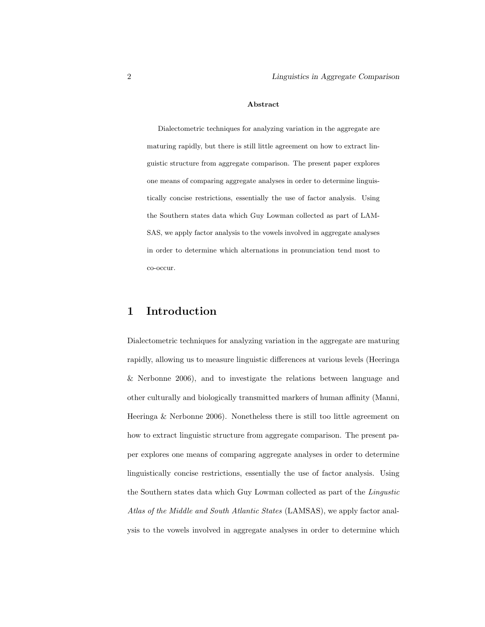#### Abstract

Dialectometric techniques for analyzing variation in the aggregate are maturing rapidly, but there is still little agreement on how to extract linguistic structure from aggregate comparison. The present paper explores one means of comparing aggregate analyses in order to determine linguistically concise restrictions, essentially the use of factor analysis. Using the Southern states data which Guy Lowman collected as part of LAM-SAS, we apply factor analysis to the vowels involved in aggregate analyses in order to determine which alternations in pronunciation tend most to co-occur.

## 1 Introduction

Dialectometric techniques for analyzing variation in the aggregate are maturing rapidly, allowing us to measure linguistic differences at various levels (Heeringa & Nerbonne 2006), and to investigate the relations between language and other culturally and biologically transmitted markers of human affinity (Manni, Heeringa & Nerbonne 2006). Nonetheless there is still too little agreement on how to extract linguistic structure from aggregate comparison. The present paper explores one means of comparing aggregate analyses in order to determine linguistically concise restrictions, essentially the use of factor analysis. Using the Southern states data which Guy Lowman collected as part of the Lingustic Atlas of the Middle and South Atlantic States (LAMSAS), we apply factor analysis to the vowels involved in aggregate analyses in order to determine which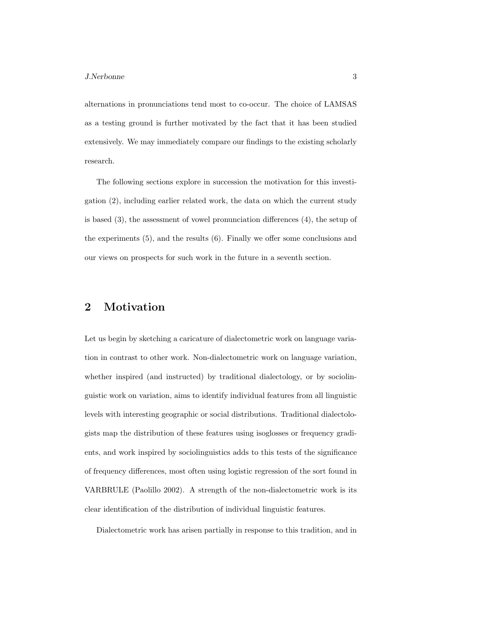alternations in pronunciations tend most to co-occur. The choice of LAMSAS as a testing ground is further motivated by the fact that it has been studied extensively. We may immediately compare our findings to the existing scholarly research.

The following sections explore in succession the motivation for this investigation (2), including earlier related work, the data on which the current study is based (3), the assessment of vowel pronunciation differences (4), the setup of the experiments (5), and the results (6). Finally we offer some conclusions and our views on prospects for such work in the future in a seventh section.

# 2 Motivation

Let us begin by sketching a caricature of dialectometric work on language variation in contrast to other work. Non-dialectometric work on language variation, whether inspired (and instructed) by traditional dialectology, or by sociolinguistic work on variation, aims to identify individual features from all linguistic levels with interesting geographic or social distributions. Traditional dialectologists map the distribution of these features using isoglosses or frequency gradients, and work inspired by sociolinguistics adds to this tests of the significance of frequency differences, most often using logistic regression of the sort found in VARBRULE (Paolillo 2002). A strength of the non-dialectometric work is its clear identification of the distribution of individual linguistic features.

Dialectometric work has arisen partially in response to this tradition, and in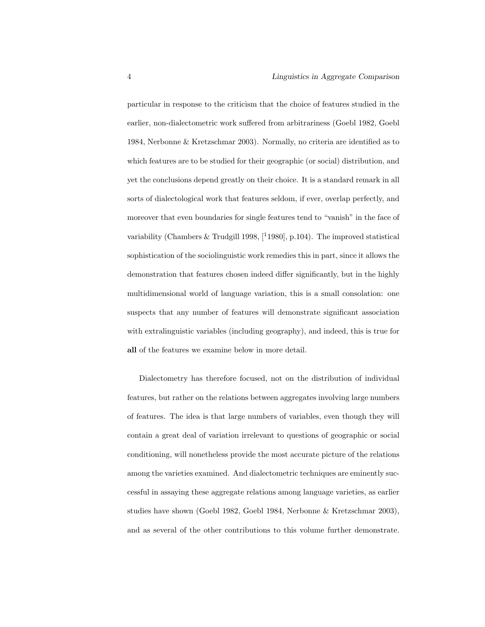particular in response to the criticism that the choice of features studied in the earlier, non-dialectometric work suffered from arbitrariness (Goebl 1982, Goebl 1984, Nerbonne & Kretzschmar 2003). Normally, no criteria are identified as to which features are to be studied for their geographic (or social) distribution, and yet the conclusions depend greatly on their choice. It is a standard remark in all sorts of dialectological work that features seldom, if ever, overlap perfectly, and moreover that even boundaries for single features tend to "vanish" in the face of variability (Chambers & Trudgill 1998,  $[11980]$ , p.104). The improved statistical sophistication of the sociolinguistic work remedies this in part, since it allows the demonstration that features chosen indeed differ significantly, but in the highly multidimensional world of language variation, this is a small consolation: one suspects that any number of features will demonstrate significant association with extralinguistic variables (including geography), and indeed, this is true for all of the features we examine below in more detail.

Dialectometry has therefore focused, not on the distribution of individual features, but rather on the relations between aggregates involving large numbers of features. The idea is that large numbers of variables, even though they will contain a great deal of variation irrelevant to questions of geographic or social conditioning, will nonetheless provide the most accurate picture of the relations among the varieties examined. And dialectometric techniques are eminently successful in assaying these aggregate relations among language varieties, as earlier studies have shown (Goebl 1982, Goebl 1984, Nerbonne & Kretzschmar 2003), and as several of the other contributions to this volume further demonstrate.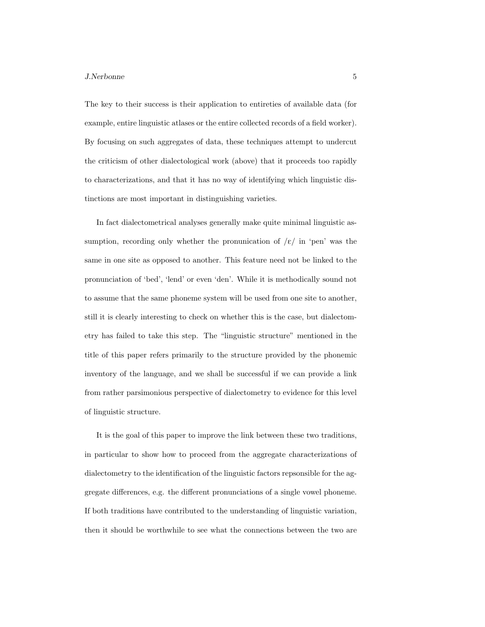#### J.Nerbonne 5

The key to their success is their application to entireties of available data (for example, entire linguistic atlases or the entire collected records of a field worker). By focusing on such aggregates of data, these techniques attempt to undercut the criticism of other dialectological work (above) that it proceeds too rapidly to characterizations, and that it has no way of identifying which linguistic distinctions are most important in distinguishing varieties.

In fact dialectometrical analyses generally make quite minimal linguistic assumption, recording only whether the pronunication of  $\ell/\ell$  in 'pen' was the same in one site as opposed to another. This feature need not be linked to the pronunciation of 'bed', 'lend' or even 'den'. While it is methodically sound not to assume that the same phoneme system will be used from one site to another, still it is clearly interesting to check on whether this is the case, but dialectometry has failed to take this step. The "linguistic structure" mentioned in the title of this paper refers primarily to the structure provided by the phonemic inventory of the language, and we shall be successful if we can provide a link from rather parsimonious perspective of dialectometry to evidence for this level of linguistic structure.

It is the goal of this paper to improve the link between these two traditions, in particular to show how to proceed from the aggregate characterizations of dialectometry to the identification of the linguistic factors repsonsible for the aggregate differences, e.g. the different pronunciations of a single vowel phoneme. If both traditions have contributed to the understanding of linguistic variation, then it should be worthwhile to see what the connections between the two are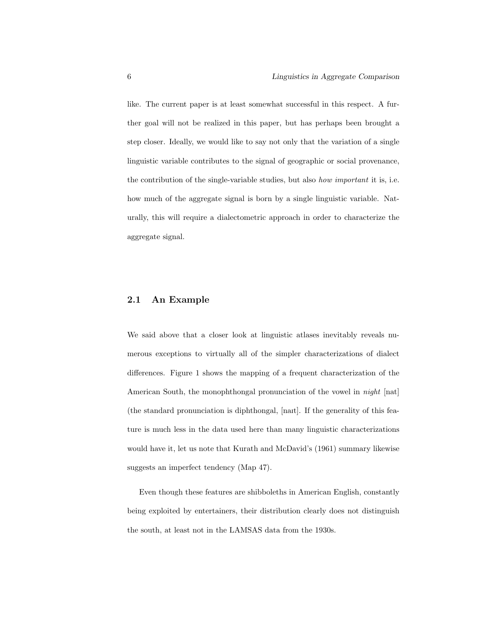like. The current paper is at least somewhat successful in this respect. A further goal will not be realized in this paper, but has perhaps been brought a step closer. Ideally, we would like to say not only that the variation of a single linguistic variable contributes to the signal of geographic or social provenance, the contribution of the single-variable studies, but also how important it is, i.e. how much of the aggregate signal is born by a single linguistic variable. Naturally, this will require a dialectometric approach in order to characterize the aggregate signal.

### 2.1 An Example

We said above that a closer look at linguistic atlases inevitably reveals numerous exceptions to virtually all of the simpler characterizations of dialect differences. Figure 1 shows the mapping of a frequent characterization of the American South, the monophthongal pronunciation of the vowel in night [nat]  $($ the standard pronunciation is diphthongal,  $[$ nant $]$ . If the generality of this feature is much less in the data used here than many linguistic characterizations would have it, let us note that Kurath and McDavid's (1961) summary likewise suggests an imperfect tendency (Map 47).

Even though these features are shibboleths in American English, constantly being exploited by entertainers, their distribution clearly does not distinguish the south, at least not in the LAMSAS data from the 1930s.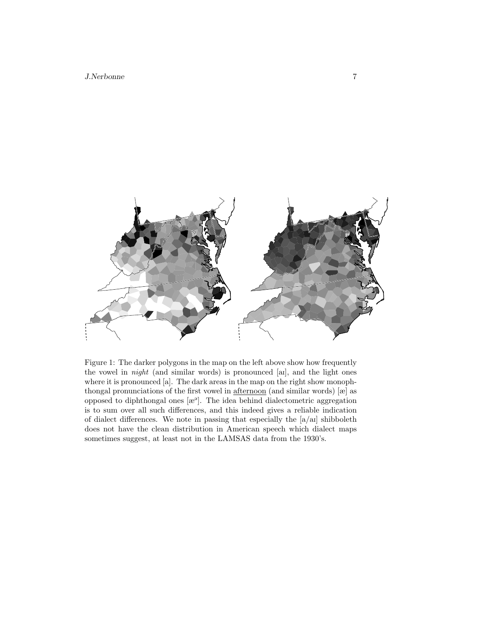

Figure 1: The darker polygons in the map on the left above show how frequently the vowel in night (and similar words) is pronounced [aI], and the light ones where it is pronounced [a]. The dark areas in the map on the right show monophthongal pronunciations of the first vowel in afternoon (and similar words) [æ] as opposed to diphthongal ones  $[\mathbb{R}^3]$ . The idea behind dialectometric aggregation is to sum over all such differences, and this indeed gives a reliable indication of dialect differences. We note in passing that especially the  $[a/a]$  shibboleth does not have the clean distribution in American speech which dialect maps sometimes suggest, at least not in the LAMSAS data from the 1930's.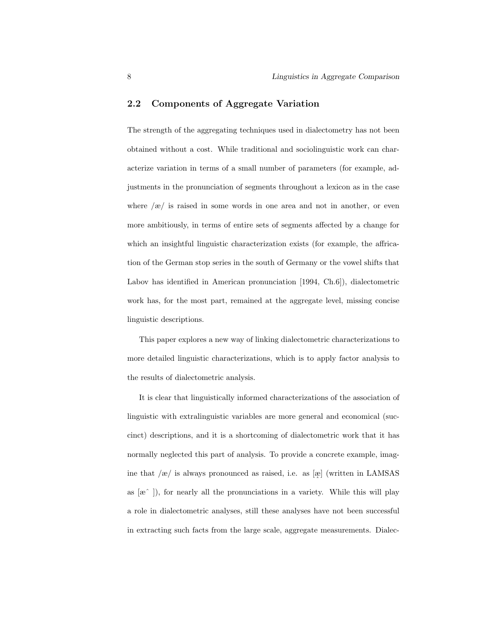### 2.2 Components of Aggregate Variation

The strength of the aggregating techniques used in dialectometry has not been obtained without a cost. While traditional and sociolinguistic work can characterize variation in terms of a small number of parameters (for example, adjustments in the pronunciation of segments throughout a lexicon as in the case where  $\alpha$  is raised in some words in one area and not in another, or even more ambitiously, in terms of entire sets of segments affected by a change for which an insightful linguistic characterization exists (for example, the affrication of the German stop series in the south of Germany or the vowel shifts that Labov has identified in American pronunciation [1994, Ch.6]), dialectometric work has, for the most part, remained at the aggregate level, missing concise linguistic descriptions.

This paper explores a new way of linking dialectometric characterizations to more detailed linguistic characterizations, which is to apply factor analysis to the results of dialectometric analysis.

It is clear that linguistically informed characterizations of the association of linguistic with extralinguistic variables are more general and economical (succinct) descriptions, and it is a shortcoming of dialectometric work that it has normally neglected this part of analysis. To provide a concrete example, imagine that  $\left/\infty\right/$  is always pronounced as raised, i.e. as  $\left[\infty\right]$  (written in LAMSAS as [æˆ ]), for nearly all the pronunciations in a variety. While this will play a role in dialectometric analyses, still these analyses have not been successful in extracting such facts from the large scale, aggregate measurements. Dialec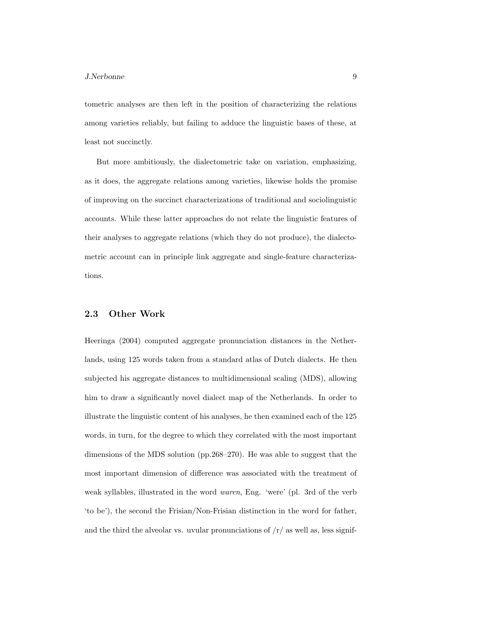tometric analyses are then left in the position of characterizing the relations among varieties reliably, but failing to adduce the linguistic bases of these, at least not succinctly.

But more ambitiously, the dialectometric take on variation, emphasizing, as it does, the aggregate relations among varieties, likewise holds the promise of improving on the succinct characterizations of traditional and sociolinguistic accounts. While these latter approaches do not relate the linguistic features of their analyses to aggregate relations (which they do not produce), the dialectometric account can in principle link aggregate and single-feature characterizations.

### 2.3 Other Work

Heeringa (2004) computed aggregate pronunciation distances in the Netherlands, using 125 words taken from a standard atlas of Dutch dialects. He then subjected his aggregate distances to multidimensional scaling (MDS), allowing him to draw a significantly novel dialect map of the Netherlands. In order to illustrate the linguistic content of his analyses, he then examined each of the 125 words, in turn, for the degree to which they correlated with the most important dimensions of the MDS solution (pp.268–270). He was able to suggest that the most important dimension of difference was associated with the treatment of weak syllables, illustrated in the word waren, Eng. 'were' (pl. 3rd of the verb 'to be'), the second the Frisian/Non-Frisian distinction in the word for father, and the third the alveolar vs. uvular pronunciations of  $\frac{r}{a}$  as well as, less signif-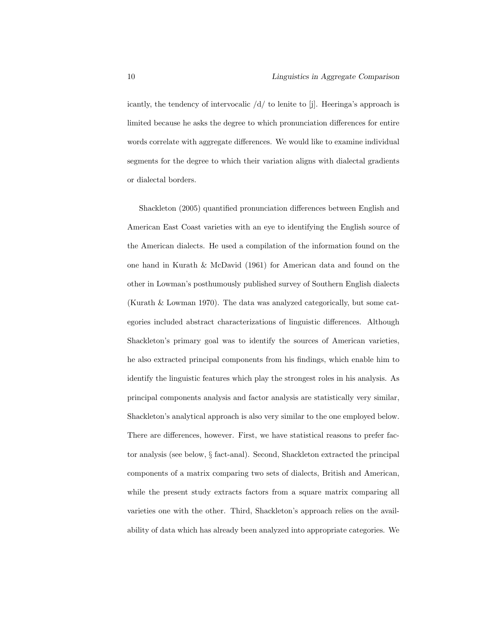icantly, the tendency of intervocalic  $\frac{d}{d}$  to lenite to [j]. Heeringa's approach is limited because he asks the degree to which pronunciation differences for entire words correlate with aggregate differences. We would like to examine individual segments for the degree to which their variation aligns with dialectal gradients or dialectal borders.

Shackleton (2005) quantified pronunciation differences between English and American East Coast varieties with an eye to identifying the English source of the American dialects. He used a compilation of the information found on the one hand in Kurath & McDavid (1961) for American data and found on the other in Lowman's posthumously published survey of Southern English dialects (Kurath & Lowman 1970). The data was analyzed categorically, but some categories included abstract characterizations of linguistic differences. Although Shackleton's primary goal was to identify the sources of American varieties, he also extracted principal components from his findings, which enable him to identify the linguistic features which play the strongest roles in his analysis. As principal components analysis and factor analysis are statistically very similar, Shackleton's analytical approach is also very similar to the one employed below. There are differences, however. First, we have statistical reasons to prefer factor analysis (see below, § fact-anal). Second, Shackleton extracted the principal components of a matrix comparing two sets of dialects, British and American, while the present study extracts factors from a square matrix comparing all varieties one with the other. Third, Shackleton's approach relies on the availability of data which has already been analyzed into appropriate categories. We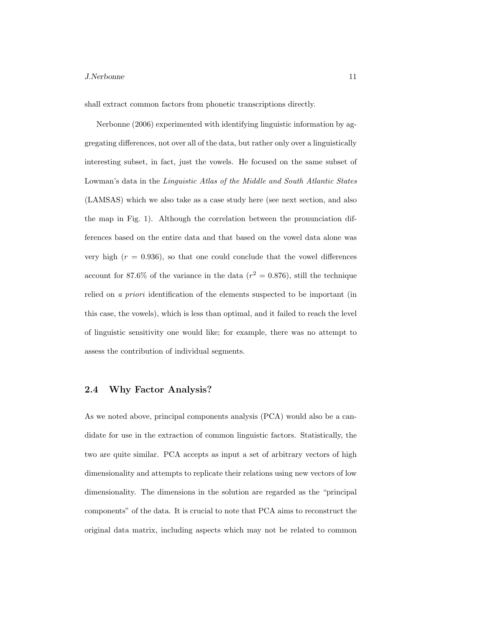#### J.Nerbonne 11

shall extract common factors from phonetic transcriptions directly.

Nerbonne (2006) experimented with identifying linguistic information by aggregating differences, not over all of the data, but rather only over a linguistically interesting subset, in fact, just the vowels. He focused on the same subset of Lowman's data in the Linguistic Atlas of the Middle and South Atlantic States (LAMSAS) which we also take as a case study here (see next section, and also the map in Fig. 1). Although the correlation between the pronunciation differences based on the entire data and that based on the vowel data alone was very high  $(r = 0.936)$ , so that one could conclude that the vowel differences account for 87.6% of the variance in the data ( $r^2 = 0.876$ ), still the technique relied on a priori identification of the elements suspected to be important (in this case, the vowels), which is less than optimal, and it failed to reach the level of linguistic sensitivity one would like; for example, there was no attempt to assess the contribution of individual segments.

### 2.4 Why Factor Analysis?

As we noted above, principal components analysis (PCA) would also be a candidate for use in the extraction of common linguistic factors. Statistically, the two are quite similar. PCA accepts as input a set of arbitrary vectors of high dimensionality and attempts to replicate their relations using new vectors of low dimensionality. The dimensions in the solution are regarded as the "principal components" of the data. It is crucial to note that PCA aims to reconstruct the original data matrix, including aspects which may not be related to common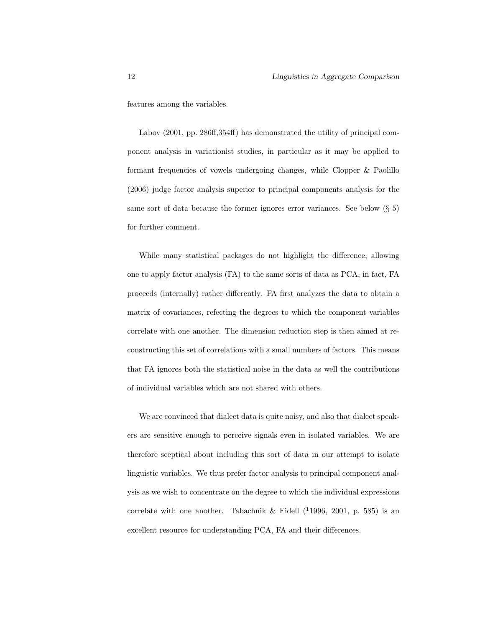features among the variables.

Labov (2001, pp. 286ff,354ff) has demonstrated the utility of principal component analysis in variationist studies, in particular as it may be applied to formant frequencies of vowels undergoing changes, while Clopper & Paolillo (2006) judge factor analysis superior to principal components analysis for the same sort of data because the former ignores error variances. See below  $(\S 5)$ for further comment.

While many statistical packages do not highlight the difference, allowing one to apply factor analysis (FA) to the same sorts of data as PCA, in fact, FA proceeds (internally) rather differently. FA first analyzes the data to obtain a matrix of covariances, refecting the degrees to which the component variables correlate with one another. The dimension reduction step is then aimed at reconstructing this set of correlations with a small numbers of factors. This means that FA ignores both the statistical noise in the data as well the contributions of individual variables which are not shared with others.

We are convinced that dialect data is quite noisy, and also that dialect speakers are sensitive enough to perceive signals even in isolated variables. We are therefore sceptical about including this sort of data in our attempt to isolate linguistic variables. We thus prefer factor analysis to principal component analysis as we wish to concentrate on the degree to which the individual expressions correlate with one another. Tabachnik & Fidell  $(11996, 2001, p. 585)$  is an excellent resource for understanding PCA, FA and their differences.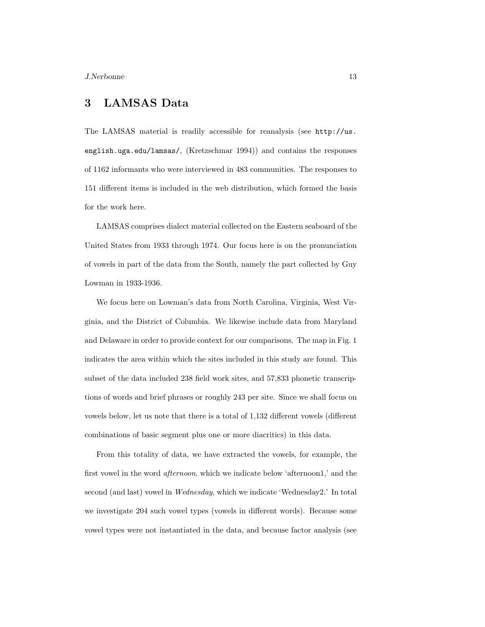# 3 LAMSAS Data

The LAMSAS material is readily accessible for reanalysis (see http://us. english.uga.edu/lamsas/, (Kretzschmar 1994)) and contains the responses of 1162 informants who were interviewed in 483 communities. The responses to 151 different items is included in the web distribution, which formed the basis for the work here.

LAMSAS comprises dialect material collected on the Eastern seaboard of the United States from 1933 through 1974. Our focus here is on the pronunciation of vowels in part of the data from the South, namely the part collected by Guy Lowman in 1933-1936.

We focus here on Lowman's data from North Carolina, Virginia, West Virginia, and the District of Columbia. We likewise include data from Maryland and Delaware in order to provide context for our comparisons. The map in Fig. 1 indicates the area within which the sites included in this study are found. This subset of the data included 238 field work sites, and 57,833 phonetic transcriptions of words and brief phrases or roughly 243 per site. Since we shall focus on vowels below, let us note that there is a total of 1,132 different vowels (different combinations of basic segment plus one or more diacritics) in this data.

From this totality of data, we have extracted the vowels, for example, the first vowel in the word afternoon, which we indicate below 'afternoon1,' and the second (and last) vowel in Wednesday, which we indicate 'Wednesday2.' In total we investigate 204 such vowel types (vowels in different words). Because some vowel types were not instantiated in the data, and because factor analysis (see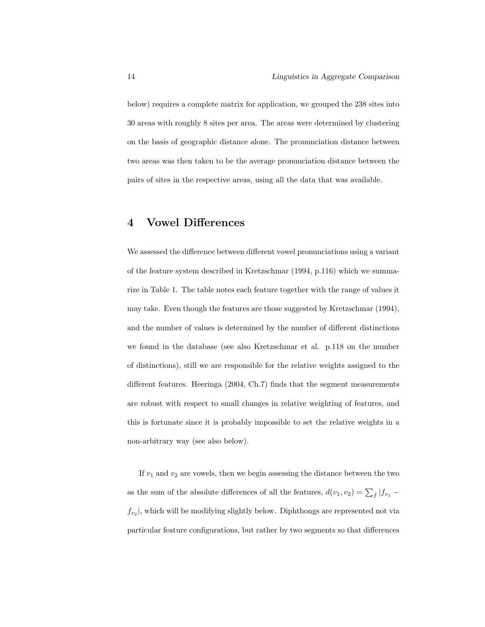below) requires a complete matrix for application, we grouped the 238 sites into 30 areas with roughly 8 sites per area. The areas were determined by clustering on the basis of geographic distance alone. The pronunciation distance between two areas was then taken to be the average pronunciation distance between the pairs of sites in the respective areas, using all the data that was available.

# 4 Vowel Differences

We assessed the difference between different vowel pronunciations using a variant of the feature system described in Kretzschmar (1994, p.116) which we summarize in Table 1. The table notes each feature together with the range of values it may take. Even though the features are those suggested by Kretzschmar (1994), and the number of values is determined by the number of different distinctions we found in the database (see also Kretzschmar et al. p.118 on the number of distinctions), still we are responsible for the relative weights assigned to the different features. Heeringa (2004, Ch.7) finds that the segment measurements are robust with respect to small changes in relative weighting of features, and this is fortunate since it is probably impossible to set the relative weights in a non-arbitrary way (see also below).

If  $v_1$  and  $v_2$  are vowels, then we begin assessing the distance between the two as the sum of the absolute differences of all the features,  $d(v_1, v_2) = \sum_f |f_{v_1}$  $f_{v_2}$ , which will be modifying slightly below. Diphthongs are represented not via particular feature configurations, but rather by two segments so that differences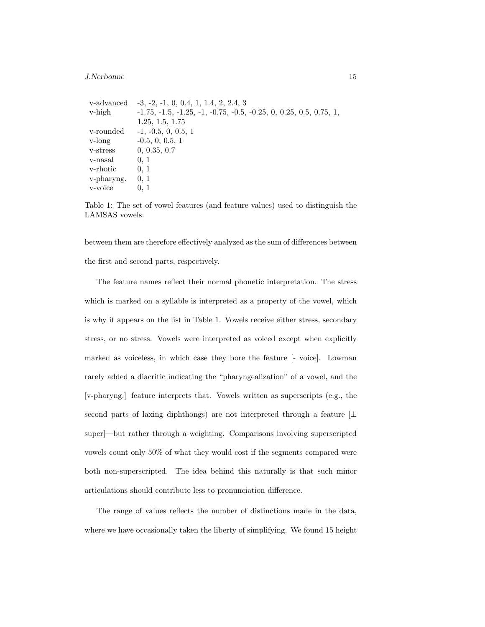#### J.Nerbonne 15

| v-advanced | $-3, -2, -1, 0, 0.4, 1, 1.4, 2, 2.4, 3$                              |
|------------|----------------------------------------------------------------------|
| v-high     | $-1.75, -1.5, -1.25, -1, -0.75, -0.5, -0.25, 0, 0.25, 0.5, 0.75, 1,$ |
|            | 1.25, 1.5, 1.75                                                      |
| v-rounded  | $-1, -0.5, 0, 0.5, 1$                                                |
| v-long     | $-0.5, 0, 0.5, 1$                                                    |
| v-stress   | 0, 0.35, 0.7                                                         |
| v-nasal    | 0, 1                                                                 |
| v-rhotic   | 0, 1                                                                 |
| v-pharyng. | 0, 1                                                                 |
| v-voice    | 0, 1                                                                 |
|            |                                                                      |

Table 1: The set of vowel features (and feature values) used to distinguish the LAMSAS vowels.

between them are therefore effectively analyzed as the sum of differences between the first and second parts, respectively.

The feature names reflect their normal phonetic interpretation. The stress which is marked on a syllable is interpreted as a property of the vowel, which is why it appears on the list in Table 1. Vowels receive either stress, secondary stress, or no stress. Vowels were interpreted as voiced except when explicitly marked as voiceless, in which case they bore the feature [- voice]. Lowman rarely added a diacritic indicating the "pharyngealization" of a vowel, and the [v-pharyng.] feature interprets that. Vowels written as superscripts (e.g., the second parts of laxing diphthongs) are not interpreted through a feature  $[\pm]$ super]—but rather through a weighting. Comparisons involving superscripted vowels count only 50% of what they would cost if the segments compared were both non-superscripted. The idea behind this naturally is that such minor articulations should contribute less to pronunciation difference.

The range of values reflects the number of distinctions made in the data, where we have occasionally taken the liberty of simplifying. We found 15 height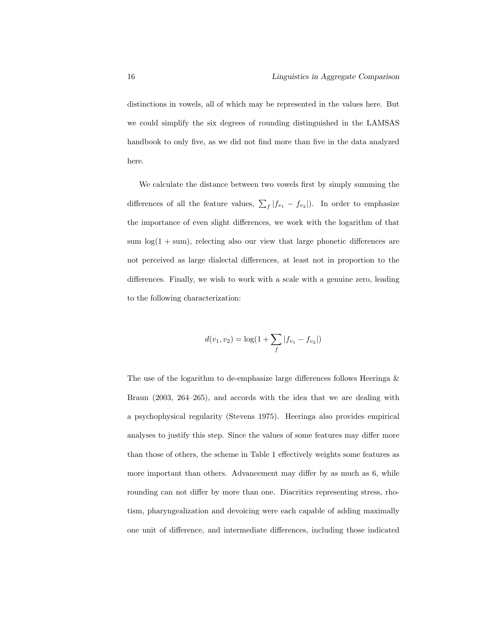distinctions in vowels, all of which may be represented in the values here. But we could simplify the six degrees of rounding distinguished in the LAMSAS handbook to only five, as we did not find more than five in the data analyzed here.

We calculate the distance between two vowels first by simply summing the differences of all the feature values,  $\sum_{f}|f_{v_1} - f_{v_2}|$ . In order to emphasize the importance of even slight differences, we work with the logarithm of that sum  $\log(1 + \text{sum})$ , relecting also our view that large phonetic differences are not perceived as large dialectal differences, at least not in proportion to the differences. Finally, we wish to work with a scale with a genuine zero, leading to the following characterization:

$$
d(v_1, v_2) = \log(1 + \sum_{f} |f_{v_1} - f_{v_2}|)
$$

The use of the logarithm to de-emphasize large differences follows Heeringa & Braun (2003, 264–265), and accords with the idea that we are dealing with a psychophysical regularity (Stevens 1975). Heeringa also provides empirical analyses to justify this step. Since the values of some features may differ more than those of others, the scheme in Table 1 effectively weights some features as more important than others. Advancement may differ by as much as 6, while rounding can not differ by more than one. Diacritics representing stress, rhotism, pharyngealization and devoicing were each capable of adding maximally one unit of difference, and intermediate differences, including those indicated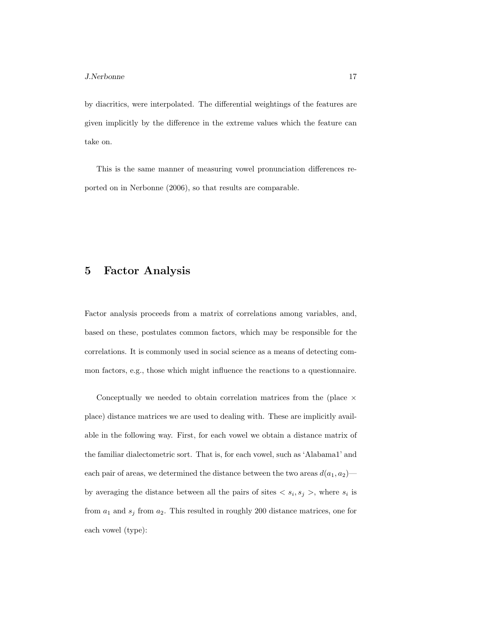by diacritics, were interpolated. The differential weightings of the features are given implicitly by the difference in the extreme values which the feature can take on.

This is the same manner of measuring vowel pronunciation differences reported on in Nerbonne (2006), so that results are comparable.

### 5 Factor Analysis

Factor analysis proceeds from a matrix of correlations among variables, and, based on these, postulates common factors, which may be responsible for the correlations. It is commonly used in social science as a means of detecting common factors, e.g., those which might influence the reactions to a questionnaire.

Conceptually we needed to obtain correlation matrices from the (place  $\times$ place) distance matrices we are used to dealing with. These are implicitly available in the following way. First, for each vowel we obtain a distance matrix of the familiar dialectometric sort. That is, for each vowel, such as 'Alabama1' and each pair of areas, we determined the distance between the two areas  $d(a_1, a_2)$  by averaging the distance between all the pairs of sites  $\langle s_i, s_j \rangle$ , where  $s_i$  is from  $a_1$  and  $s_j$  from  $a_2$ . This resulted in roughly 200 distance matrices, one for each vowel (type):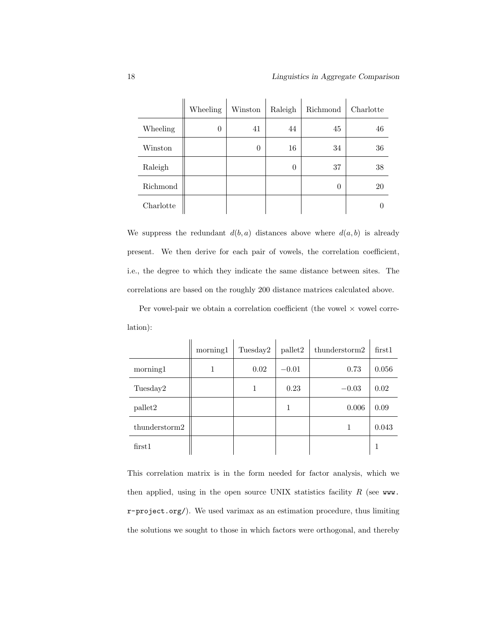|           | Wheeling | Winston        | Raleigh  | Richmond | Charlotte |
|-----------|----------|----------------|----------|----------|-----------|
| Wheeling  | 0        | 41             | 44       | 45       | 46        |
| Winston   |          | $\overline{0}$ | 16       | 34       | 36        |
| Raleigh   |          |                | $\theta$ | 37       | 38        |
| Richmond  |          |                |          | 0        | 20        |
| Charlotte |          |                |          |          |           |

We suppress the redundant  $d(b, a)$  distances above where  $d(a, b)$  is already present. We then derive for each pair of vowels, the correlation coefficient, i.e., the degree to which they indicate the same distance between sites. The correlations are based on the roughly 200 distance matrices calculated above.

Per vowel-pair we obtain a correlation coefficient (the vowel  $\times$  vowel correlation):

|                     | morning1 | Tuesday2 | pallet2 | thunderstorm2 | first1 |
|---------------------|----------|----------|---------|---------------|--------|
| morning1            |          | 0.02     | $-0.01$ | 0.73          | 0.056  |
| Tuesday2            |          | 1        | 0.23    | $-0.03$       | 0.02   |
| pallet2             |          |          | 1       | 0.006         | 0.09   |
| $th$ understorm $2$ |          |          |         |               | 0.043  |
| first1              |          |          |         |               | -1     |

This correlation matrix is in the form needed for factor analysis, which we then applied, using in the open source UNIX statistics facility  $R$  (see www. r-project.org/). We used varimax as an estimation procedure, thus limiting the solutions we sought to those in which factors were orthogonal, and thereby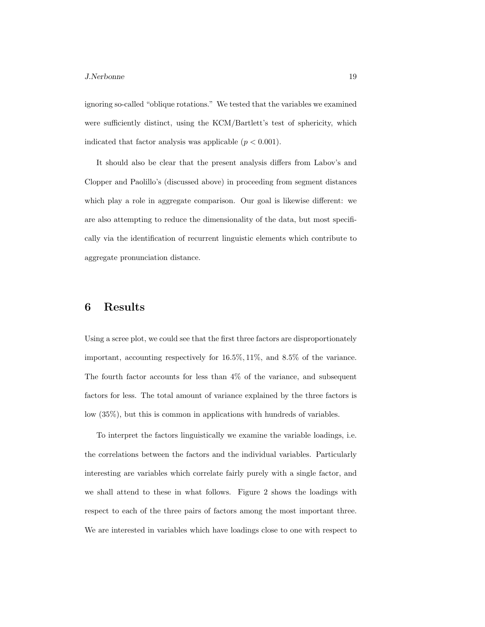#### J.Nerbonne 19

ignoring so-called "oblique rotations." We tested that the variables we examined were sufficiently distinct, using the KCM/Bartlett's test of sphericity, which indicated that factor analysis was applicable  $(p < 0.001)$ .

It should also be clear that the present analysis differs from Labov's and Clopper and Paolillo's (discussed above) in proceeding from segment distances which play a role in aggregate comparison. Our goal is likewise different: we are also attempting to reduce the dimensionality of the data, but most specifically via the identification of recurrent linguistic elements which contribute to aggregate pronunciation distance.

### 6 Results

Using a scree plot, we could see that the first three factors are disproportionately important, accounting respectively for 16.5%, 11%, and 8.5% of the variance. The fourth factor accounts for less than 4% of the variance, and subsequent factors for less. The total amount of variance explained by the three factors is low (35%), but this is common in applications with hundreds of variables.

To interpret the factors linguistically we examine the variable loadings, i.e. the correlations between the factors and the individual variables. Particularly interesting are variables which correlate fairly purely with a single factor, and we shall attend to these in what follows. Figure 2 shows the loadings with respect to each of the three pairs of factors among the most important three. We are interested in variables which have loadings close to one with respect to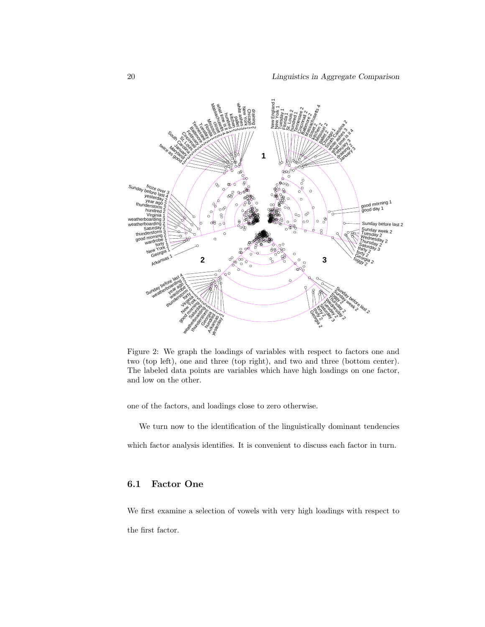

Figure 2: We graph the loadings of variables with respect to factors one and two (top left), one and three (top right), and two and three (bottom center). The labeled data points are variables which have high loadings on one factor, and low on the other.

one of the factors, and loadings close to zero otherwise.

We turn now to the identification of the linguistically dominant tendencies which factor analysis identifies. It is convenient to discuss each factor in turn.

### 6.1 Factor One

We first examine a selection of vowels with very high loadings with respect to the first factor.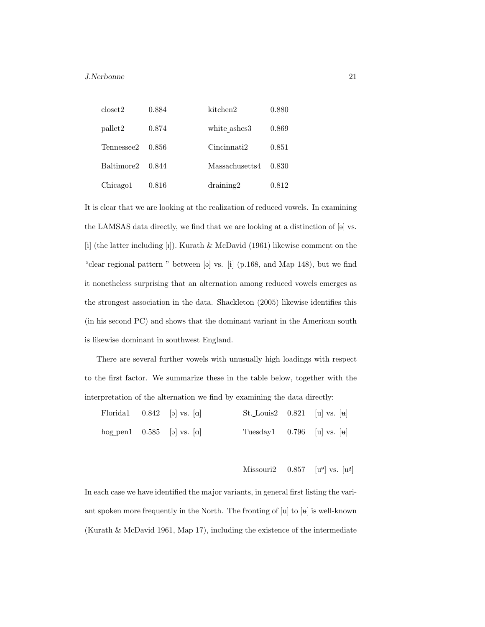| closet2    | 0.884 | kitchen2          | 0.880 |
|------------|-------|-------------------|-------|
| pallet2    | 0.874 | white ashes3      | 0.869 |
| Tennessee2 | 0.856 | Cincinnati2       | 0.851 |
| Baltimore2 | 0.844 | Massachusetts4    | 0.830 |
| Chicago1   | 0.816 | $\text{draining}$ | 0.812 |

It is clear that we are looking at the realization of reduced vowels. In examining the LAMSAS data directly, we find that we are looking at a distinction of  $[9]$  vs. [i] (the latter including [i]). Kurath & McDavid (1961) likewise comment on the "clear regional pattern " between  $[\circ]$  vs.  $[i]$  (p.168, and Map 148), but we find it nonetheless surprising that an alternation among reduced vowels emerges as the strongest association in the data. Shackleton (2005) likewise identifies this (in his second PC) and shows that the dominant variant in the American south is likewise dominant in southwest England.

There are several further vowels with unusually high loadings with respect to the first factor. We summarize these in the table below, together with the interpretation of the alternation we find by examining the data directly:

|  | Floridal $0.842$ [o] vs. [a]                | St. Louis2 $0.821$ [u] vs. [u] |  |
|--|---------------------------------------------|--------------------------------|--|
|  | hog pen $1 \quad 0.585 \quad  o $ vs. $ a $ | Tuesday1 $0.796$ [u] vs. [u]   |  |

 $Missouri2$  0.857  $\Theta$  vs.  $\left[\mathbf{u}^{\Theta}\right]$ 

In each case we have identified the major variants, in general first listing the variant spoken more frequently in the North. The fronting of  $[u]$  to  $[u]$  is well-known (Kurath & McDavid 1961, Map 17), including the existence of the intermediate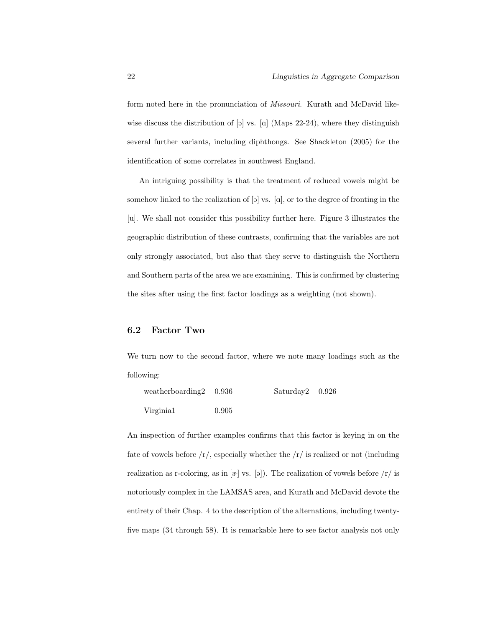form noted here in the pronunciation of Missouri. Kurath and McDavid likewise discuss the distribution of  $\lbrack \circ \rbrack$  vs.  $\lbrack \circ \rbrack$  (Maps 22-24), where they distinguish several further variants, including diphthongs. See Shackleton (2005) for the identification of some correlates in southwest England.

An intriguing possibility is that the treatment of reduced vowels might be somehow linked to the realization of  $[\infty]$  vs.  $[\infty]$ , or to the degree of fronting in the [u]. We shall not consider this possibility further here. Figure 3 illustrates the geographic distribution of these contrasts, confirming that the variables are not only strongly associated, but also that they serve to distinguish the Northern and Southern parts of the area we are examining. This is confirmed by clustering the sites after using the first factor loadings as a weighting (not shown).

### 6.2 Factor Two

We turn now to the second factor, where we note many loadings such as the following:

| weatherboarding $2$ 0.936 |       | $Saturdav2$ 0.926 |  |
|---------------------------|-------|-------------------|--|
| Virginia <sub>1</sub>     | 0.905 |                   |  |

An inspection of further examples confirms that this factor is keying in on the fate of vowels before  $\langle r \rangle$ , especially whether the  $\langle r \rangle$  is realized or not (including realization as r-coloring, as in  $[\infty]$  vs.  $[\infty]$ ). The realization of vowels before  $\int r/\text{ is}$ notoriously complex in the LAMSAS area, and Kurath and McDavid devote the entirety of their Chap. 4 to the description of the alternations, including twentyfive maps (34 through 58). It is remarkable here to see factor analysis not only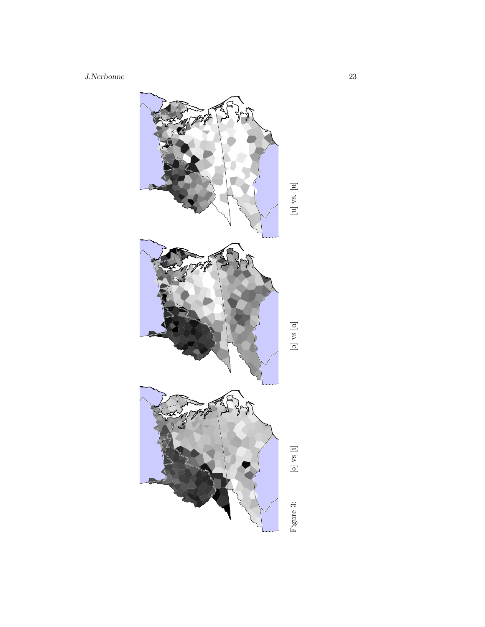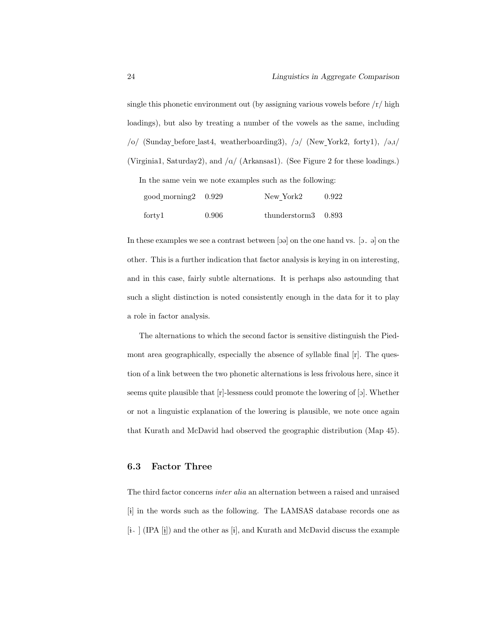single this phonetic environment out (by assigning various vowels before  $\frac{r}{\ln h}$ loadings), but also by treating a number of the vowels as the same, including  $/o/$  (Sunday before last4, weatherboarding3),  $/o/$  (New York2, forty1),  $/o, I/$ (Virginia1, Saturday2), and  $\alpha$  (Arkansas1). (See Figure 2 for these loadings.)

In the same vein we note examples such as the following:

| $\text{good}_\text{morning2}$ 0.929 |       | New York2              | 0.922 |
|-------------------------------------|-------|------------------------|-------|
| forty1                              | 0.906 | thunderstorm $3$ 0.893 |       |

In these examples we see a contrast between [ $\varphi$ ] on the one hand vs. [ $\varphi$   $\varphi$ ] on the other. This is a further indication that factor analysis is keying in on interesting, and in this case, fairly subtle alternations. It is perhaps also astounding that such a slight distinction is noted consistently enough in the data for it to play a role in factor analysis.

The alternations to which the second factor is sensitive distinguish the Piedmont area geographically, especially the absence of syllable final [r]. The question of a link between the two phonetic alternations is less frivolous here, since it seems quite plausible that  $[r]$ -lessness could promote the lowering of  $[s]$ . Whether or not a linguistic explanation of the lowering is plausible, we note once again that Kurath and McDavid had observed the geographic distribution (Map 45).

### 6.3 Factor Three

The third factor concerns inter alia an alternation between a raised and unraised [i] in the words such as the following. The LAMSAS database records one as  $[i] \cap \{[PA[i]]\}$  and the other as  $[i]$ , and Kurath and McDavid discuss the example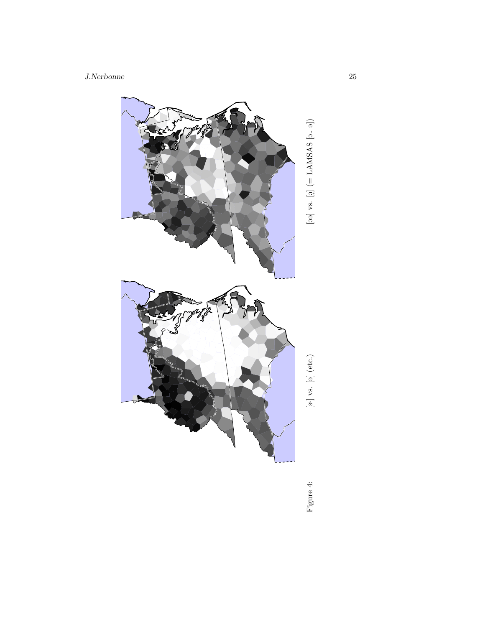

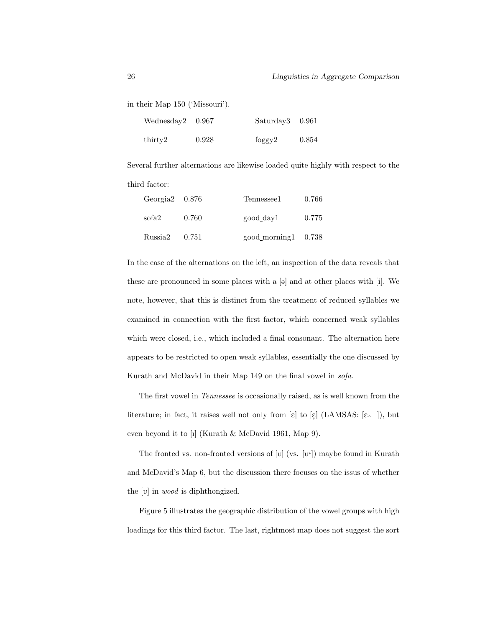in their Map 150 ('Missouri').

| We<br>dressday2 0.967 |       | Saturday3 0.961 |       |
|-----------------------|-------|-----------------|-------|
| thirty2               | 0.928 | foggy2          | 0.854 |

Several further alternations are likewise loaded quite highly with respect to the third factor:

| Georgia $2\quad 0.876$ |       | Tennessee1                         | 0.766 |
|------------------------|-------|------------------------------------|-------|
| sofa2                  | 0.760 | good day1                          | 0.775 |
| Russia2                | 0.751 | $\text{good morning1} \quad 0.738$ |       |

In the case of the alternations on the left, an inspection of the data reveals that these are pronounced in some places with a  $[\circ]$  and at other places with  $[i]$ . We note, however, that this is distinct from the treatment of reduced syllables we examined in connection with the first factor, which concerned weak syllables which were closed, i.e., which included a final consonant. The alternation here appears to be restricted to open weak syllables, essentially the one discussed by Kurath and McDavid in their Map 149 on the final vowel in sofa.

The first vowel in Tennessee is occasionally raised, as is well known from the literature; in fact, it raises well not only from  $[\varepsilon]$  to  $[\varepsilon]$  (LAMSAS:  $[\varepsilon_{\frown}]$ ), but even beyond it to [I] (Kurath & McDavid 1961, Map 9).

The fronted vs. non-fronted versions of [ $\mathrm{U}$ ] (vs.  $\mathrm{[U]}$ ) maybe found in Kurath and McDavid's Map 6, but the discussion there focuses on the issus of whether the [v] in *wood* is diphthongized.

Figure 5 illustrates the geographic distribution of the vowel groups with high loadings for this third factor. The last, rightmost map does not suggest the sort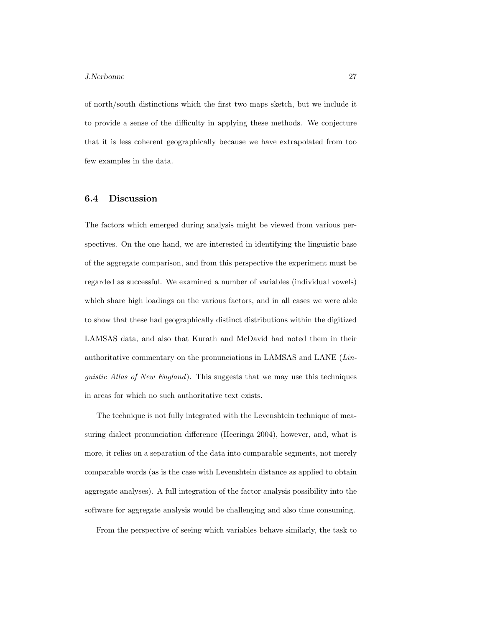of north/south distinctions which the first two maps sketch, but we include it to provide a sense of the difficulty in applying these methods. We conjecture that it is less coherent geographically because we have extrapolated from too few examples in the data.

### 6.4 Discussion

The factors which emerged during analysis might be viewed from various perspectives. On the one hand, we are interested in identifying the linguistic base of the aggregate comparison, and from this perspective the experiment must be regarded as successful. We examined a number of variables (individual vowels) which share high loadings on the various factors, and in all cases we were able to show that these had geographically distinct distributions within the digitized LAMSAS data, and also that Kurath and McDavid had noted them in their authoritative commentary on the pronunciations in LAMSAS and LANE (Linguistic Atlas of New England). This suggests that we may use this techniques in areas for which no such authoritative text exists.

The technique is not fully integrated with the Levenshtein technique of measuring dialect pronunciation difference (Heeringa 2004), however, and, what is more, it relies on a separation of the data into comparable segments, not merely comparable words (as is the case with Levenshtein distance as applied to obtain aggregate analyses). A full integration of the factor analysis possibility into the software for aggregate analysis would be challenging and also time consuming.

From the perspective of seeing which variables behave similarly, the task to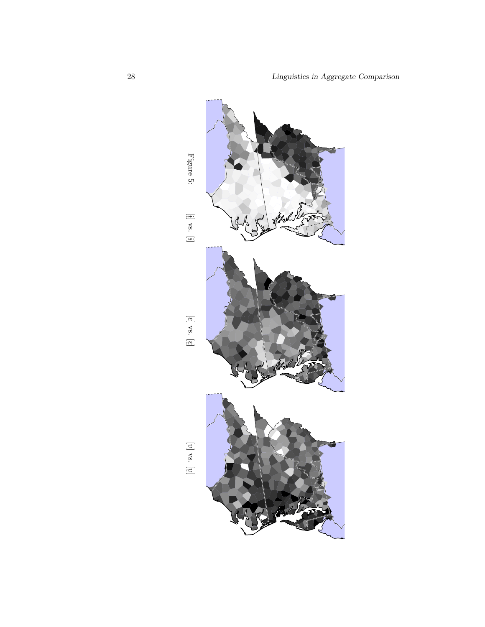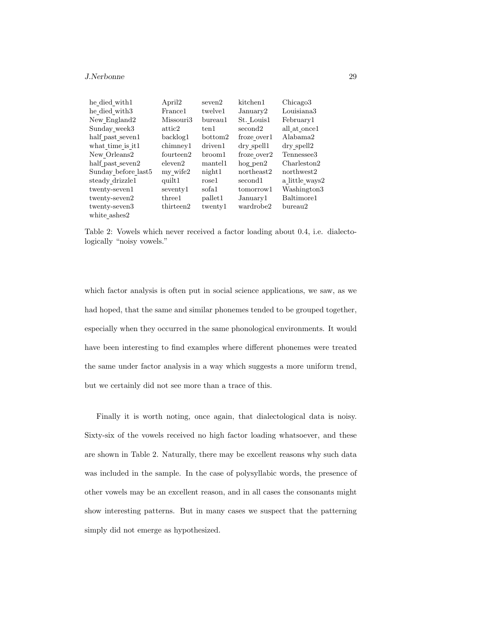#### J.Nerbonne 29

| he died with1       | April <sub>2</sub> | seven2         | kitchen1              | Chicago <sub>3</sub>   |
|---------------------|--------------------|----------------|-----------------------|------------------------|
| he died with3       | France1            | twelve1        | January2              | Louisiana3             |
| New England2        | Missouri3          | bureau1        | St. Louis1            | February1              |
| Sunday week3        | attic2             | ten 1          | second <sub>2</sub>   | all at once 1          |
| half_past_seven1    | backlog1           | bottom2        | froze over1           | Alabama2               |
| what time is it1    | chimnev1           | driven1        | dry spell1            | dry spell2             |
| New Orleans2        | fourteen2          | broom1         | froze over2           | Tennessee <sub>3</sub> |
| half past seven2    | eleven2            | mantel1        | $ho$ g pen $2$        | Charleston2            |
| Sunday before last5 | my wife2           | night1         | northeast2            | northwest2             |
| steady drizzle1     | quilt1             | $_{\rm rose1}$ | second1               | a little ways2         |
| twenty-seven1       | seventy1           | sofa1          | tomorrow <sup>1</sup> | Washington3            |
| twenty-seven2       | three1             | pallet1        | January1              | Baltimore1             |
| twenty-seven3       | thirteen2          | twenty1        | wardrobe2             | $b$ ureau $2$          |
| white ashes2        |                    |                |                       |                        |

Table 2: Vowels which never received a factor loading about 0.4, i.e. dialectologically "noisy vowels."

which factor analysis is often put in social science applications, we saw, as we had hoped, that the same and similar phonemes tended to be grouped together, especially when they occurred in the same phonological environments. It would have been interesting to find examples where different phonemes were treated the same under factor analysis in a way which suggests a more uniform trend, but we certainly did not see more than a trace of this.

Finally it is worth noting, once again, that dialectological data is noisy. Sixty-six of the vowels received no high factor loading whatsoever, and these are shown in Table 2. Naturally, there may be excellent reasons why such data was included in the sample. In the case of polysyllabic words, the presence of other vowels may be an excellent reason, and in all cases the consonants might show interesting patterns. But in many cases we suspect that the patterning simply did not emerge as hypothesized.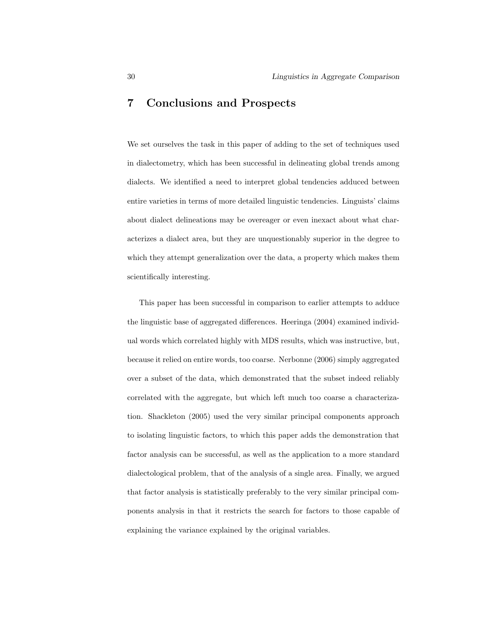### 7 Conclusions and Prospects

We set ourselves the task in this paper of adding to the set of techniques used in dialectometry, which has been successful in delineating global trends among dialects. We identified a need to interpret global tendencies adduced between entire varieties in terms of more detailed linguistic tendencies. Linguists' claims about dialect delineations may be overeager or even inexact about what characterizes a dialect area, but they are unquestionably superior in the degree to which they attempt generalization over the data, a property which makes them scientifically interesting.

This paper has been successful in comparison to earlier attempts to adduce the linguistic base of aggregated differences. Heeringa (2004) examined individual words which correlated highly with MDS results, which was instructive, but, because it relied on entire words, too coarse. Nerbonne (2006) simply aggregated over a subset of the data, which demonstrated that the subset indeed reliably correlated with the aggregate, but which left much too coarse a characterization. Shackleton (2005) used the very similar principal components approach to isolating linguistic factors, to which this paper adds the demonstration that factor analysis can be successful, as well as the application to a more standard dialectological problem, that of the analysis of a single area. Finally, we argued that factor analysis is statistically preferably to the very similar principal components analysis in that it restricts the search for factors to those capable of explaining the variance explained by the original variables.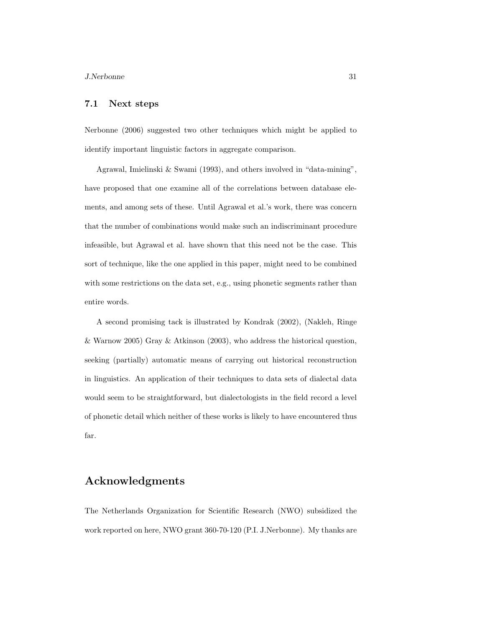### 7.1 Next steps

Nerbonne (2006) suggested two other techniques which might be applied to identify important linguistic factors in aggregate comparison.

Agrawal, Imielinski & Swami (1993), and others involved in "data-mining", have proposed that one examine all of the correlations between database elements, and among sets of these. Until Agrawal et al.'s work, there was concern that the number of combinations would make such an indiscriminant procedure infeasible, but Agrawal et al. have shown that this need not be the case. This sort of technique, like the one applied in this paper, might need to be combined with some restrictions on the data set, e.g., using phonetic segments rather than entire words.

A second promising tack is illustrated by Kondrak (2002), (Nakleh, Ringe & Warnow 2005) Gray & Atkinson (2003), who address the historical question, seeking (partially) automatic means of carrying out historical reconstruction in linguistics. An application of their techniques to data sets of dialectal data would seem to be straightforward, but dialectologists in the field record a level of phonetic detail which neither of these works is likely to have encountered thus far.

# Acknowledgments

The Netherlands Organization for Scientific Research (NWO) subsidized the work reported on here, NWO grant 360-70-120 (P.I. J.Nerbonne). My thanks are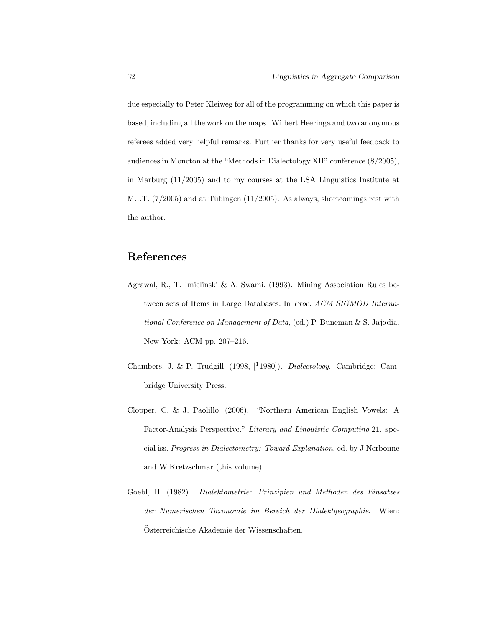due especially to Peter Kleiweg for all of the programming on which this paper is based, including all the work on the maps. Wilbert Heeringa and two anonymous referees added very helpful remarks. Further thanks for very useful feedback to audiences in Moncton at the "Methods in Dialectology XII" conference (8/2005), in Marburg (11/2005) and to my courses at the LSA Linguistics Institute at M.I.T.  $(7/2005)$  and at Tübingen  $(11/2005)$ . As always, shortcomings rest with the author.

# References

- Agrawal, R., T. Imielinski & A. Swami. (1993). Mining Association Rules between sets of Items in Large Databases. In Proc. ACM SIGMOD International Conference on Management of Data, (ed.) P. Buneman & S. Jajodia. New York: ACM pp. 207–216.
- Chambers, J. & P. Trudgill. (1998, [<sup>1</sup>1980]). Dialectology. Cambridge: Cambridge University Press.
- Clopper, C. & J. Paolillo. (2006). "Northern American English Vowels: A Factor-Analysis Perspective." Literary and Linguistic Computing 21. special iss. Progress in Dialectometry: Toward Explanation, ed. by J.Nerbonne and W.Kretzschmar (this volume).
- Goebl, H. (1982). Dialektometrie: Prinzipien und Methoden des Einsatzes der Numerischen Taxonomie im Bereich der Dialektgeographie. Wien: Osterreichische Akademie der Wissenschaften. ¨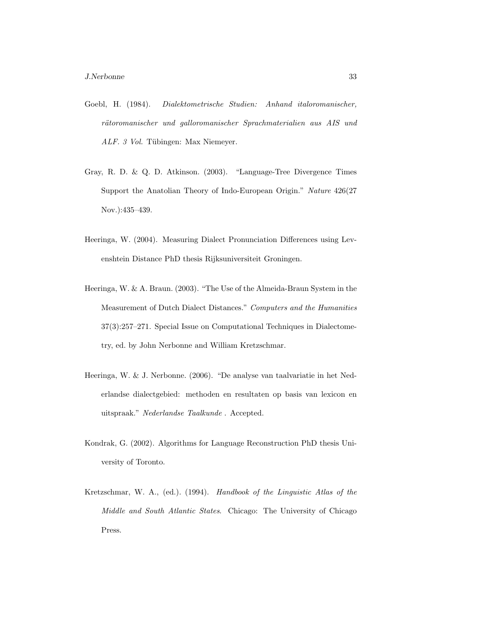- Goebl, H. (1984). Dialektometrische Studien: Anhand italoromanischer, rätoromanischer und galloromanischer Sprachmaterialien aus AIS und ALF. 3 Vol. Tübingen: Max Niemeyer.
- Gray, R. D. & Q. D. Atkinson. (2003). "Language-Tree Divergence Times Support the Anatolian Theory of Indo-European Origin." Nature 426(27 Nov.):435–439.
- Heeringa, W. (2004). Measuring Dialect Pronunciation Differences using Levenshtein Distance PhD thesis Rijksuniversiteit Groningen.
- Heeringa, W. & A. Braun. (2003). "The Use of the Almeida-Braun System in the Measurement of Dutch Dialect Distances." Computers and the Humanities 37(3):257–271. Special Issue on Computational Techniques in Dialectometry, ed. by John Nerbonne and William Kretzschmar.
- Heeringa, W. & J. Nerbonne. (2006). "De analyse van taalvariatie in het Nederlandse dialectgebied: methoden en resultaten op basis van lexicon en uitspraak." Nederlandse Taalkunde . Accepted.
- Kondrak, G. (2002). Algorithms for Language Reconstruction PhD thesis University of Toronto.
- Kretzschmar, W. A., (ed.). (1994). Handbook of the Linguistic Atlas of the Middle and South Atlantic States. Chicago: The University of Chicago Press.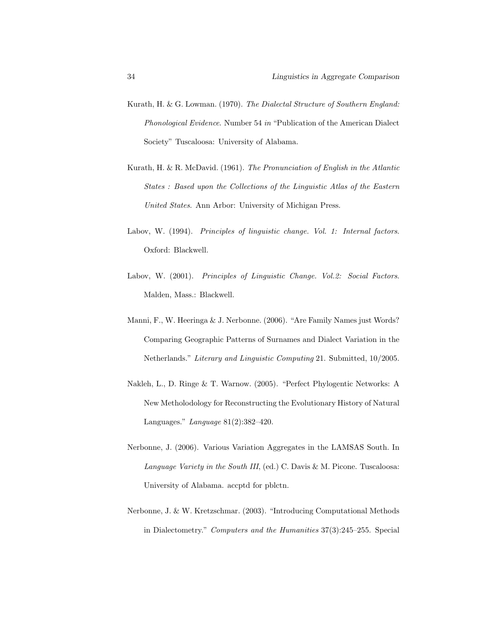- Kurath, H. & G. Lowman. (1970). The Dialectal Structure of Southern England: Phonological Evidence. Number 54 in "Publication of the American Dialect Society" Tuscaloosa: University of Alabama.
- Kurath, H. & R. McDavid. (1961). The Pronunciation of English in the Atlantic States : Based upon the Collections of the Linguistic Atlas of the Eastern United States. Ann Arbor: University of Michigan Press.
- Labov, W. (1994). Principles of linguistic change. Vol. 1: Internal factors. Oxford: Blackwell.
- Labov, W. (2001). Principles of Linguistic Change. Vol.2: Social Factors. Malden, Mass.: Blackwell.
- Manni, F., W. Heeringa & J. Nerbonne. (2006). "Are Family Names just Words? Comparing Geographic Patterns of Surnames and Dialect Variation in the Netherlands." Literary and Linguistic Computing 21. Submitted, 10/2005.
- Nakleh, L., D. Ringe & T. Warnow. (2005). "Perfect Phylogentic Networks: A New Metholodology for Reconstructing the Evolutionary History of Natural Languages." Language 81(2):382–420.
- Nerbonne, J. (2006). Various Variation Aggregates in the LAMSAS South. In Language Variety in the South III, (ed.) C. Davis & M. Picone. Tuscaloosa: University of Alabama. accptd for pblctn.
- Nerbonne, J. & W. Kretzschmar. (2003). "Introducing Computational Methods in Dialectometry." Computers and the Humanities 37(3):245–255. Special